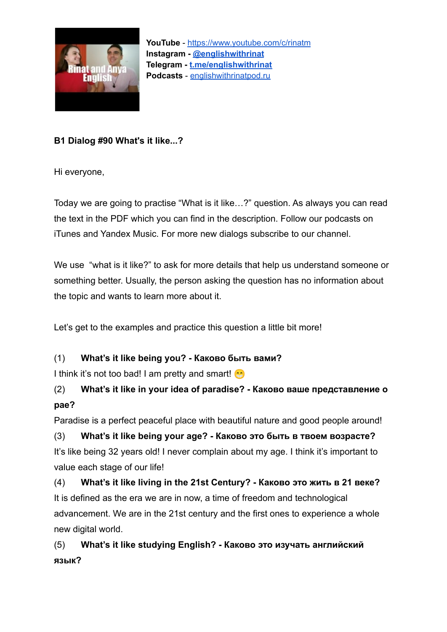

**B1 Dialog #90 What's it like...?**

Hi everyone,

Today we are going to practise "What is it like…?" question. As always you can read the text in the PDF which you can find in the description. Follow our podcasts on iTunes and Yandex Music. For more new dialogs subscribe to our channel.

We use "what is it like?" to ask for more details that help us understand someone or something better. Usually, the person asking the question has no information about the topic and wants to learn more about it.

Let's get to the examples and practice this question a little bit more!

#### (1) **What's it like being you? - Каково быть вами?**

I think it's not too bad! I am pretty and smart!

## (2) **What's it like in your idea of paradise? - Каково ваше представление о рае?**

Paradise is a perfect peaceful place with beautiful nature and good people around!

(3) **What's it like being your age? - Каково это быть в твоем возрасте?** It's like being 32 years old! I never complain about my age. I think it's important to value each stage of our life!

(4) **What's it like living in the 21st Century? - Каково это жить в 21 веке?** It is defined as the era we are in now, a time of freedom and technological advancement. We are in the 21st century and the first ones to experience a whole new digital world.

(5) **What's it like studying English? - Каково это изучать английский язык?**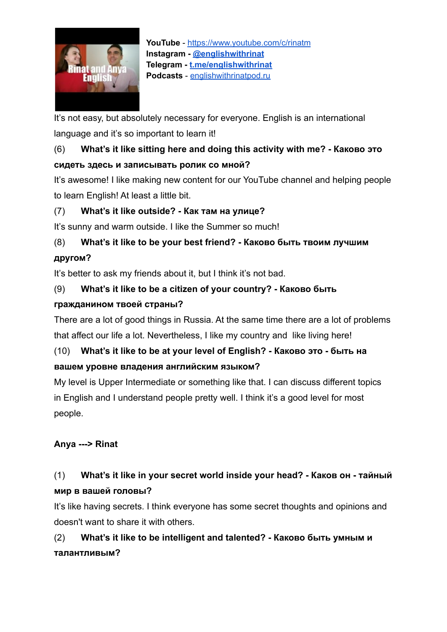

**YouTube** - <https://www.youtube.com/c/rinatm> **Instagram - [@englishwithrinat](https://instagram.com/englishwithrinat) Telegram - [t.me/englishwithrinat](https://t.me/englishwithrinat) Podcasts** - [englishwithrinatpod.ru](http://englishwithrinatpod.ru/)

It's not easy, but absolutely necessary for everyone. English is an international language and it's so important to learn it!

## (6) **What's it like sitting here and doing this activity with me? - Каково это сидеть здесь и записывать ролик со мной?**

It's awesome! I like making new content for our YouTube channel and helping people to learn English! At least a little bit.

#### (7) **What's it like outside? - Как там на улице?**

It's sunny and warm outside. I like the Summer so much!

# (8) **What's it like to be your best friend? - Каково быть твоим лучшим**

#### **другом?**

It's better to ask my friends about it, but I think it's not bad.

#### (9) **What's it like to be a citizen of your country? - Каково быть**

#### **гражданином твоей страны?**

There are a lot of good things in Russia. At the same time there are a lot of problems that affect our life a lot. Nevertheless, I like my country and like living here!

## (10) **What's it like to be at your level of English? - Каково это - быть на вашем уровне владения английским языком?**

My level is Upper Intermediate or something like that. I can discuss different topics in English and I understand people pretty well. I think it's a good level for most people.

#### **Anya ---> Rinat**

## (1) **What's it like in your secret world inside your head? - Каков он - тайный мир в вашей головы?**

It's like having secrets. I think everyone has some secret thoughts and opinions and doesn't want to share it with others.

(2) **What's it like to be intelligent and talented? - Каково быть умным и талантливым?**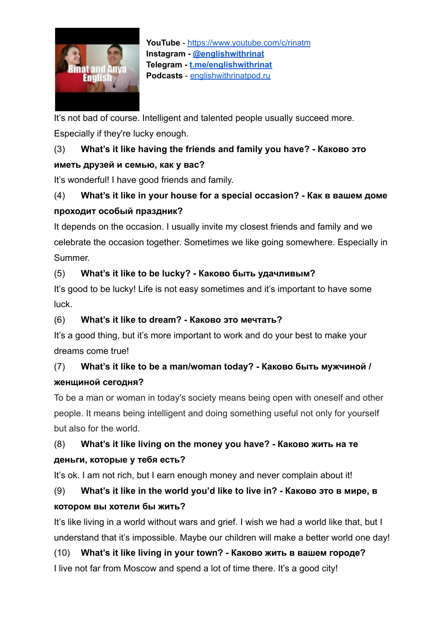

**YouTube** - <https://www.youtube.com/c/rinatm> **Instagram - [@englishwithrinat](https://instagram.com/englishwithrinat) Telegram - [t.me/englishwithrinat](https://t.me/englishwithrinat) Podcasts** - [englishwithrinatpod.ru](http://englishwithrinatpod.ru/)

It's not bad of course. Intelligent and talented people usually succeed more. Especially if they're lucky enough.

## (3) **What's it like having the friends and family you have? - Каково это иметь друзей и семью, как у вас?**

It's wonderful! I have good friends and family.

### (4) **What's it like in your house for a special occasion? - Как в вашем доме проходит особый праздник?**

It depends on the occasion. I usually invite my closest friends and family and we celebrate the occasion together. Sometimes we like going somewhere. Especially in Summer.

#### (5) **What's it like to be lucky? - Каково быть удачливым?**

It's good to be lucky! Life is not easy sometimes and it's important to have some luck.

#### (6) **What's it like to dream? - Каково это мечтать?**

It's a good thing, but it's more important to work and do your best to make your dreams come true!

## (7) **What's it like to be a man/woman today? - Каково быть мужчиной / женщиной сегодня?**

To be a man or woman in today's society means being open with oneself and other people. It means being intelligent and doing something useful not only for yourself but also for the world.

## (8) **What's it like living on the money you have? - Каково жить на те деньги, которые у тебя есть?**

It's ok. I am not rich, but I earn enough money and never complain about it!

## (9) **What's it like in the world you'd like to live in? - Каково это в мире, в котором вы хотели бы жить?**

It's like living in a world without wars and grief. I wish we had a world like that, but I understand that it's impossible. Maybe our children will make a better world one day!

## (10) **What's it like living in your town? - Каково жить в вашем городе?**

I live not far from Moscow and spend a lot of time there. It's a good city!